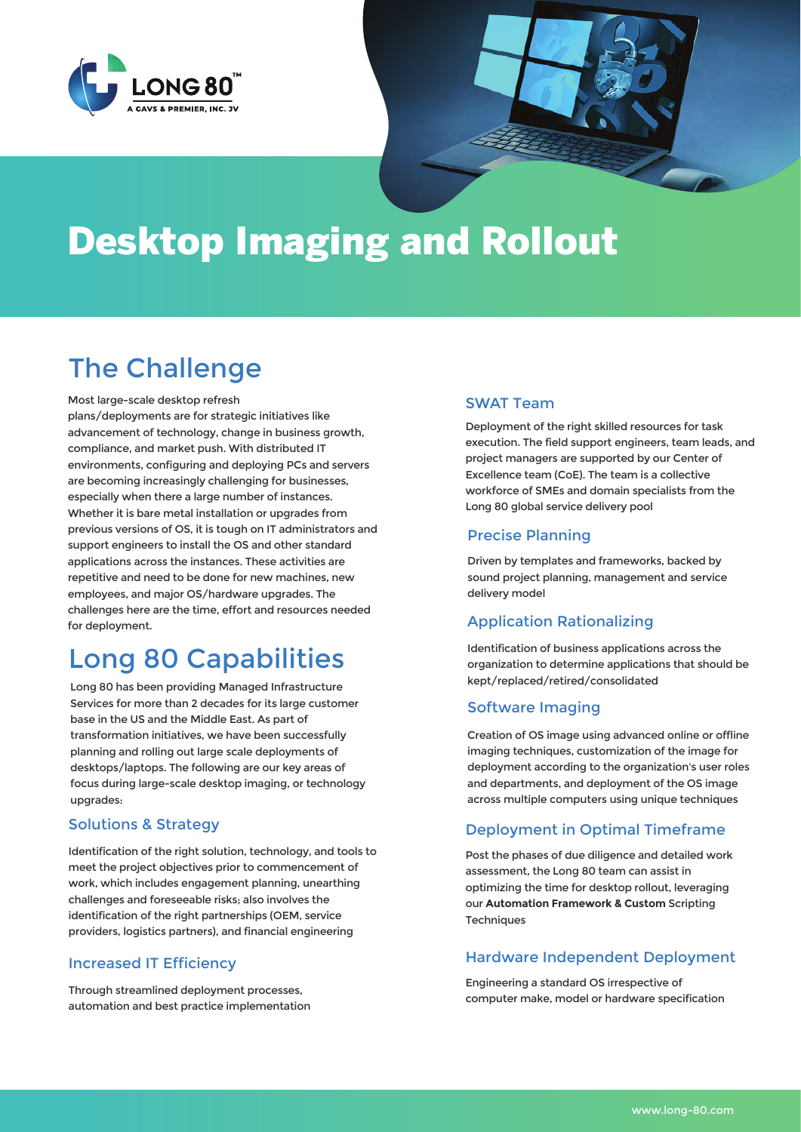



# The Challenge

Most large-scale desktop refresh

plans/deployments are for strategic initiatives like advancement of technology, change in business growth, compliance, and market push. With distributed IT environments, configuring and deploying PCs and servers are becoming increasingly challenging for businesses, especially when there a large number of instances. Whether it is bare metal installation or upgrades from previous versions of OS, it is tough on IT administrators and support engineers to install the OS and other standard applications across the instances. These activities are repetitive and need to be done for new machines, new employees, and major OS/hardware upgrades. The challenges here are the time, effort and resources needed for deployment.

## Long 80 Capabilities

Long 80 has been providing Managed Infrastructure Services for more than 2 decades for its large customer base in the US and the Middle East. As part of transformation initiatives, we have been successfully planning and rolling out large scale deployments of desktops/laptops. The following are our key areas of focus during large-scale desktop imaging, or technology upgrades:

### Solutions & Strategy

Identification of the right solution, technology, and tools to meet the project objectives prior to commencement of work, which includes engagement planning, unearthing challenges and foreseeable risks; also involves the identification of the right partnerships (OEM, service providers, logistics partners), and financial engineering

#### Increased IT Efficiency

Through streamlined deployment processes, automation and best practice implementation

### SWAT Team

Deployment of the right skilled resources for task execution. The field support engineers, team leads, and project managers are supported by our Center of Excellence team (CoE). The team is a collective workforce of SMEs and domain specialists from the Long 80 global service delivery pool

### Precise Planning

Driven by templates and frameworks, backed by sound project planning, management and service delivery model

## Application Rationalizing

Identification of business applications across the organization to determine applications that should be kept/replaced/retired/consolidated

#### Software Imaging

Creation of OS image using advanced online or offline imaging techniques, customization of the image for deployment according to the organization's user roles and departments, and deployment of the OS image across multiple computers using unique techniques

## Deployment in Optimal Timeframe

Post the phases of due diligence and detailed work assessment, the Long 80 team can assist in optimizing the time for desktop rollout, leveraging our **Automation Framework & Custom** Scripting **Techniques** 

## Hardware Independent Deployment

Engineering a standard OS irrespective of computer make, model or hardware specification